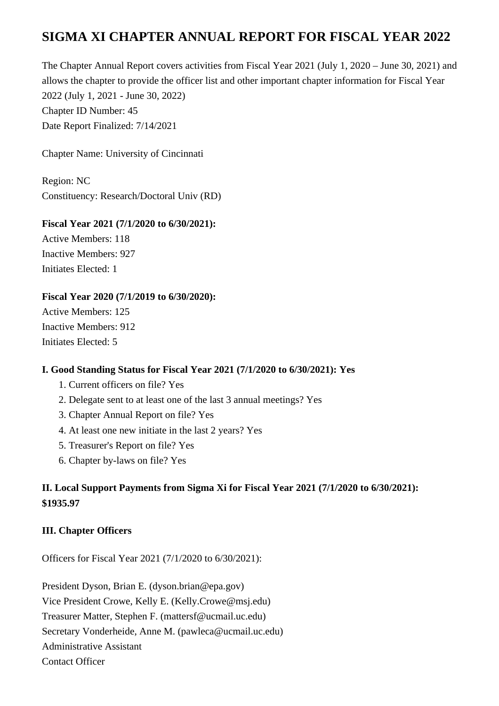# **SIGMA XI CHAPTER ANNUAL REPORT FOR FISCAL YEAR 2022**

The Chapter Annual Report covers activities from Fiscal Year 2021 (July 1, 2020 – June 30, 2021) and allows the chapter to provide the officer list and other important chapter information for Fiscal Year 2022 (July 1, 2021 - June 30, 2022) Chapter ID Number: 45 Date Report Finalized: 7/14/2021

Chapter Name: University of Cincinnati

Region: NC Constituency: Research/Doctoral Univ (RD)

#### **Fiscal Year 2021 (7/1/2020 to 6/30/2021):**

Active Members: 118 Inactive Members: 927 Initiates Elected: 1

### **Fiscal Year 2020 (7/1/2019 to 6/30/2020):**

Active Members: 125 Inactive Members: 912 Initiates Elected: 5

#### **I. Good Standing Status for Fiscal Year 2021 (7/1/2020 to 6/30/2021): Yes**

- 1. Current officers on file? Yes
- 2. Delegate sent to at least one of the last 3 annual meetings? Yes
- 3. Chapter Annual Report on file? Yes
- 4. At least one new initiate in the last 2 years? Yes
- 5. Treasurer's Report on file? Yes
- 6. Chapter by-laws on file? Yes

## **II. Local Support Payments from Sigma Xi for Fiscal Year 2021 (7/1/2020 to 6/30/2021): \$1935.97**

### **III. Chapter Officers**

Officers for Fiscal Year 2021 (7/1/2020 to 6/30/2021):

President Dyson, Brian E. (dyson.brian@epa.gov) Vice President Crowe, Kelly E. (Kelly.Crowe@msj.edu) Treasurer Matter, Stephen F. (mattersf@ucmail.uc.edu) Secretary Vonderheide, Anne M. (pawleca@ucmail.uc.edu) Administrative Assistant Contact Officer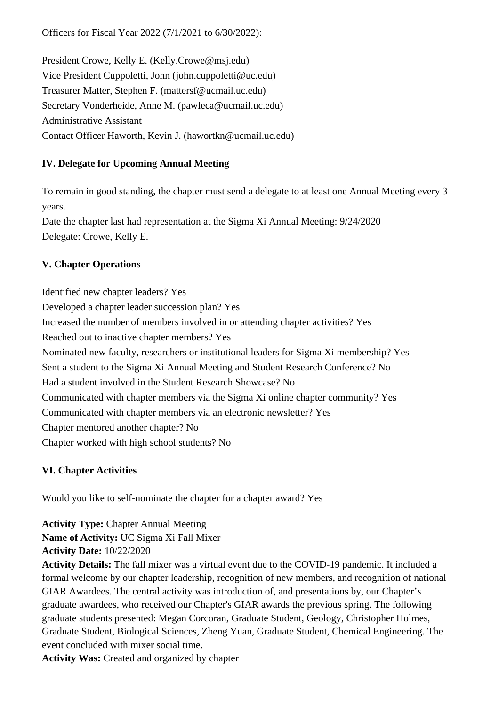Officers for Fiscal Year 2022 (7/1/2021 to 6/30/2022):

President Crowe, Kelly E. (Kelly.Crowe@msj.edu) Vice President Cuppoletti, John (john.cuppoletti@uc.edu) Treasurer Matter, Stephen F. (mattersf@ucmail.uc.edu) Secretary Vonderheide, Anne M. (pawleca@ucmail.uc.edu) Administrative Assistant Contact Officer Haworth, Kevin J. (hawortkn@ucmail.uc.edu)

### **IV. Delegate for Upcoming Annual Meeting**

To remain in good standing, the chapter must send a delegate to at least one Annual Meeting every 3 years.

Date the chapter last had representation at the Sigma Xi Annual Meeting: 9/24/2020 Delegate: Crowe, Kelly E.

## **V. Chapter Operations**

Identified new chapter leaders? Yes Developed a chapter leader succession plan? Yes Increased the number of members involved in or attending chapter activities? Yes Reached out to inactive chapter members? Yes Nominated new faculty, researchers or institutional leaders for Sigma Xi membership? Yes Sent a student to the Sigma Xi Annual Meeting and Student Research Conference? No Had a student involved in the Student Research Showcase? No Communicated with chapter members via the Sigma Xi online chapter community? Yes Communicated with chapter members via an electronic newsletter? Yes Chapter mentored another chapter? No Chapter worked with high school students? No

## **VI. Chapter Activities**

Would you like to self-nominate the chapter for a chapter award? Yes

**Activity Type:** Chapter Annual Meeting **Name of Activity:** UC Sigma Xi Fall Mixer **Activity Date:** 10/22/2020

**Activity Details:** The fall mixer was a virtual event due to the COVID-19 pandemic. It included a formal welcome by our chapter leadership, recognition of new members, and recognition of national GIAR Awardees. The central activity was introduction of, and presentations by, our Chapter's graduate awardees, who received our Chapter's GIAR awards the previous spring. The following graduate students presented: Megan Corcoran, Graduate Student, Geology, Christopher Holmes, Graduate Student, Biological Sciences, Zheng Yuan, Graduate Student, Chemical Engineering. The event concluded with mixer social time.

**Activity Was:** Created and organized by chapter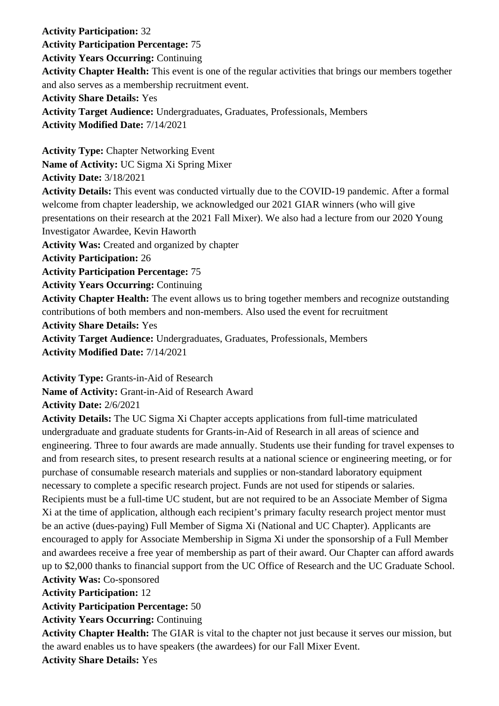**Activity Participation:** 32 **Activity Participation Percentage:** 75 **Activity Years Occurring:** Continuing **Activity Chapter Health:** This event is one of the regular activities that brings our members together and also serves as a membership recruitment event. **Activity Share Details:** Yes **Activity Target Audience:** Undergraduates, Graduates, Professionals, Members **Activity Modified Date:** 7/14/2021 **Activity Type:** Chapter Networking Event **Name of Activity:** UC Sigma Xi Spring Mixer **Activity Date:** 3/18/2021 **Activity Details:** This event was conducted virtually due to the COVID-19 pandemic. After a formal welcome from chapter leadership, we acknowledged our 2021 GIAR winners (who will give presentations on their research at the 2021 Fall Mixer). We also had a lecture from our 2020 Young Investigator Awardee, Kevin Haworth **Activity Was:** Created and organized by chapter **Activity Participation:** 26 **Activity Participation Percentage:** 75 **Activity Years Occurring:** Continuing **Activity Chapter Health:** The event allows us to bring together members and recognize outstanding contributions of both members and non-members. Also used the event for recruitment **Activity Share Details:** Yes **Activity Target Audience:** Undergraduates, Graduates, Professionals, Members

**Activity Modified Date:** 7/14/2021

**Activity Type:** Grants-in-Aid of Research

**Name of Activity:** Grant-in-Aid of Research Award

**Activity Date:** 2/6/2021

**Activity Details:** The UC Sigma Xi Chapter accepts applications from full-time matriculated undergraduate and graduate students for Grants-in-Aid of Research in all areas of science and engineering. Three to four awards are made annually. Students use their funding for travel expenses to and from research sites, to present research results at a national science or engineering meeting, or for purchase of consumable research materials and supplies or non-standard laboratory equipment necessary to complete a specific research project. Funds are not used for stipends or salaries. Recipients must be a full-time UC student, but are not required to be an Associate Member of Sigma Xi at the time of application, although each recipient's primary faculty research project mentor must be an active (dues-paying) Full Member of Sigma Xi (National and UC Chapter). Applicants are encouraged to apply for Associate Membership in Sigma Xi under the sponsorship of a Full Member and awardees receive a free year of membership as part of their award. Our Chapter can afford awards up to \$2,000 thanks to financial support from the UC Office of Research and the UC Graduate School. **Activity Was:** Co-sponsored

**Activity Participation:** 12

**Activity Participation Percentage:** 50

**Activity Years Occurring:** Continuing

**Activity Chapter Health:** The GIAR is vital to the chapter not just because it serves our mission, but the award enables us to have speakers (the awardees) for our Fall Mixer Event.

**Activity Share Details:** Yes